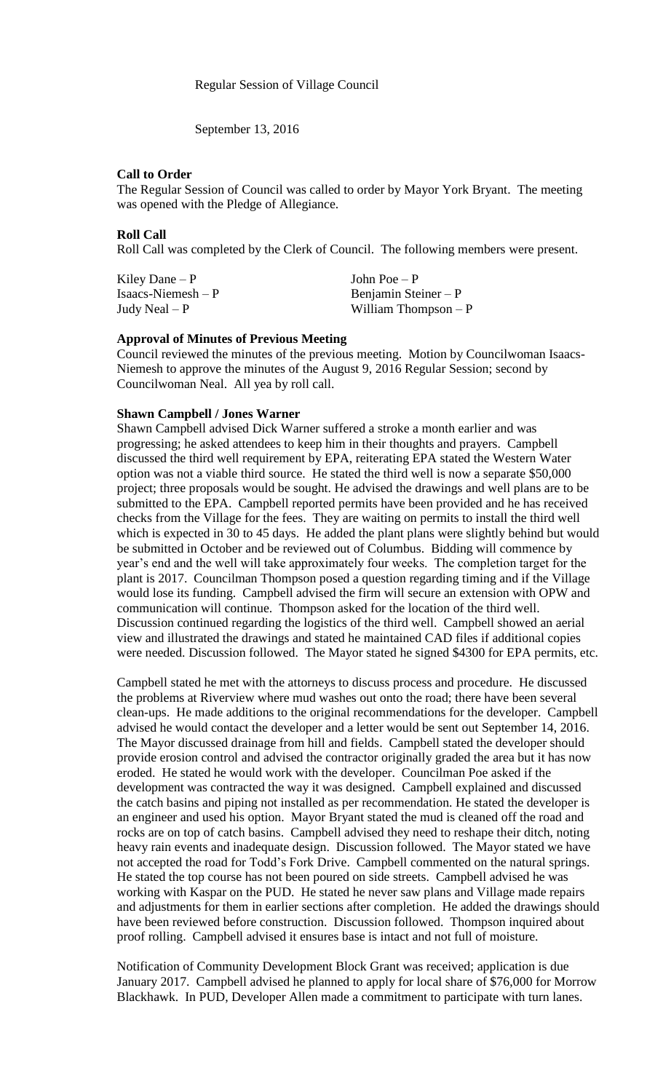September 13, 2016

## **Call to Order**

The Regular Session of Council was called to order by Mayor York Bryant. The meeting was opened with the Pledge of Allegiance.

## **Roll Call**

Roll Call was completed by the Clerk of Council. The following members were present.

| Kiley Dane $-P$      | John Poe $-P$         |
|----------------------|-----------------------|
| $Isaacs-Niemesh – P$ | Benjamin Steiner $-P$ |
| Judy Neal $-P$       | William Thompson $-P$ |

## **Approval of Minutes of Previous Meeting**

Council reviewed the minutes of the previous meeting. Motion by Councilwoman Isaacs-Niemesh to approve the minutes of the August 9, 2016 Regular Session; second by Councilwoman Neal. All yea by roll call.

## **Shawn Campbell / Jones Warner**

Shawn Campbell advised Dick Warner suffered a stroke a month earlier and was progressing; he asked attendees to keep him in their thoughts and prayers. Campbell discussed the third well requirement by EPA, reiterating EPA stated the Western Water option was not a viable third source. He stated the third well is now a separate \$50,000 project; three proposals would be sought. He advised the drawings and well plans are to be submitted to the EPA. Campbell reported permits have been provided and he has received checks from the Village for the fees. They are waiting on permits to install the third well which is expected in 30 to 45 days. He added the plant plans were slightly behind but would be submitted in October and be reviewed out of Columbus. Bidding will commence by year's end and the well will take approximately four weeks. The completion target for the plant is 2017. Councilman Thompson posed a question regarding timing and if the Village would lose its funding. Campbell advised the firm will secure an extension with OPW and communication will continue. Thompson asked for the location of the third well. Discussion continued regarding the logistics of the third well. Campbell showed an aerial view and illustrated the drawings and stated he maintained CAD files if additional copies were needed. Discussion followed. The Mayor stated he signed \$4300 for EPA permits, etc.

Campbell stated he met with the attorneys to discuss process and procedure. He discussed the problems at Riverview where mud washes out onto the road; there have been several clean-ups. He made additions to the original recommendations for the developer. Campbell advised he would contact the developer and a letter would be sent out September 14, 2016. The Mayor discussed drainage from hill and fields. Campbell stated the developer should provide erosion control and advised the contractor originally graded the area but it has now eroded. He stated he would work with the developer. Councilman Poe asked if the development was contracted the way it was designed. Campbell explained and discussed the catch basins and piping not installed as per recommendation. He stated the developer is an engineer and used his option. Mayor Bryant stated the mud is cleaned off the road and rocks are on top of catch basins. Campbell advised they need to reshape their ditch, noting heavy rain events and inadequate design. Discussion followed. The Mayor stated we have not accepted the road for Todd's Fork Drive. Campbell commented on the natural springs. He stated the top course has not been poured on side streets. Campbell advised he was working with Kaspar on the PUD. He stated he never saw plans and Village made repairs and adjustments for them in earlier sections after completion. He added the drawings should have been reviewed before construction. Discussion followed. Thompson inquired about proof rolling. Campbell advised it ensures base is intact and not full of moisture.

Notification of Community Development Block Grant was received; application is due January 2017. Campbell advised he planned to apply for local share of \$76,000 for Morrow Blackhawk. In PUD, Developer Allen made a commitment to participate with turn lanes.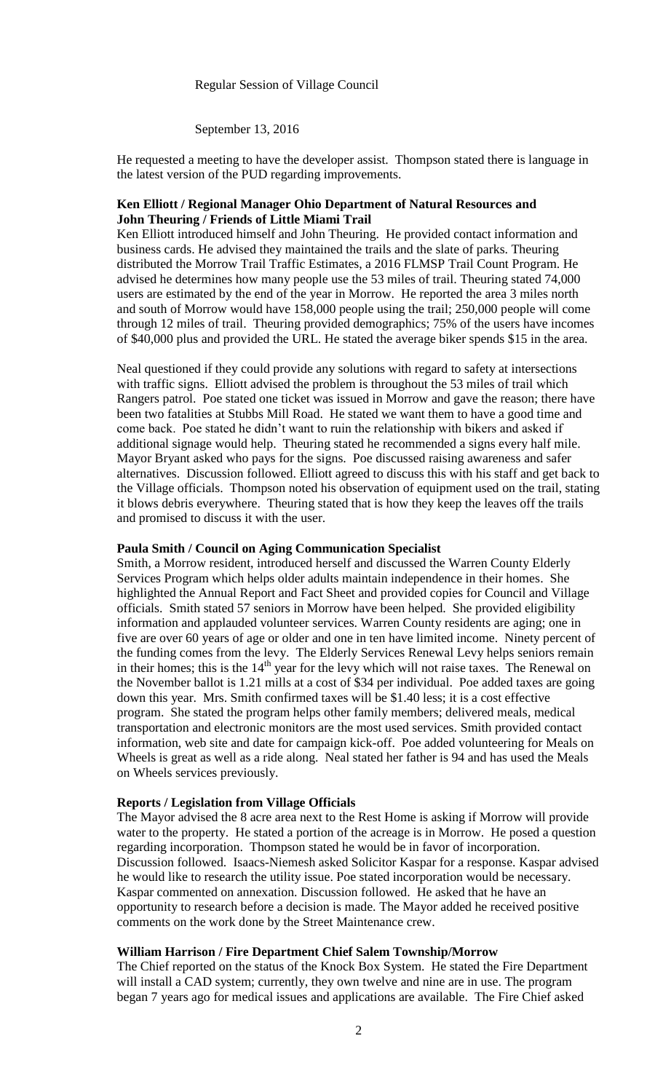September 13, 2016

He requested a meeting to have the developer assist. Thompson stated there is language in the latest version of the PUD regarding improvements.

## **Ken Elliott / Regional Manager Ohio Department of Natural Resources and John Theuring / Friends of Little Miami Trail**

Ken Elliott introduced himself and John Theuring. He provided contact information and business cards. He advised they maintained the trails and the slate of parks. Theuring distributed the Morrow Trail Traffic Estimates, a 2016 FLMSP Trail Count Program. He advised he determines how many people use the 53 miles of trail. Theuring stated 74,000 users are estimated by the end of the year in Morrow. He reported the area 3 miles north and south of Morrow would have 158,000 people using the trail; 250,000 people will come through 12 miles of trail. Theuring provided demographics; 75% of the users have incomes of \$40,000 plus and provided the URL. He stated the average biker spends \$15 in the area.

Neal questioned if they could provide any solutions with regard to safety at intersections with traffic signs. Elliott advised the problem is throughout the 53 miles of trail which Rangers patrol. Poe stated one ticket was issued in Morrow and gave the reason; there have been two fatalities at Stubbs Mill Road. He stated we want them to have a good time and come back. Poe stated he didn't want to ruin the relationship with bikers and asked if additional signage would help. Theuring stated he recommended a signs every half mile. Mayor Bryant asked who pays for the signs. Poe discussed raising awareness and safer alternatives. Discussion followed. Elliott agreed to discuss this with his staff and get back to the Village officials. Thompson noted his observation of equipment used on the trail, stating it blows debris everywhere. Theuring stated that is how they keep the leaves off the trails and promised to discuss it with the user.

## **Paula Smith / Council on Aging Communication Specialist**

Smith, a Morrow resident, introduced herself and discussed the Warren County Elderly Services Program which helps older adults maintain independence in their homes. She highlighted the Annual Report and Fact Sheet and provided copies for Council and Village officials. Smith stated 57 seniors in Morrow have been helped. She provided eligibility information and applauded volunteer services. Warren County residents are aging; one in five are over 60 years of age or older and one in ten have limited income. Ninety percent of the funding comes from the levy. The Elderly Services Renewal Levy helps seniors remain in their homes; this is the  $14<sup>th</sup>$  year for the levy which will not raise taxes. The Renewal on the November ballot is 1.21 mills at a cost of \$34 per individual. Poe added taxes are going down this year. Mrs. Smith confirmed taxes will be \$1.40 less; it is a cost effective program. She stated the program helps other family members; delivered meals, medical transportation and electronic monitors are the most used services. Smith provided contact information, web site and date for campaign kick-off. Poe added volunteering for Meals on Wheels is great as well as a ride along. Neal stated her father is 94 and has used the Meals on Wheels services previously.

#### **Reports / Legislation from Village Officials**

The Mayor advised the 8 acre area next to the Rest Home is asking if Morrow will provide water to the property. He stated a portion of the acreage is in Morrow. He posed a question regarding incorporation. Thompson stated he would be in favor of incorporation. Discussion followed. Isaacs-Niemesh asked Solicitor Kaspar for a response. Kaspar advised he would like to research the utility issue. Poe stated incorporation would be necessary. Kaspar commented on annexation. Discussion followed. He asked that he have an opportunity to research before a decision is made. The Mayor added he received positive comments on the work done by the Street Maintenance crew.

## **William Harrison / Fire Department Chief Salem Township/Morrow**

The Chief reported on the status of the Knock Box System. He stated the Fire Department will install a CAD system; currently, they own twelve and nine are in use. The program began 7 years ago for medical issues and applications are available. The Fire Chief asked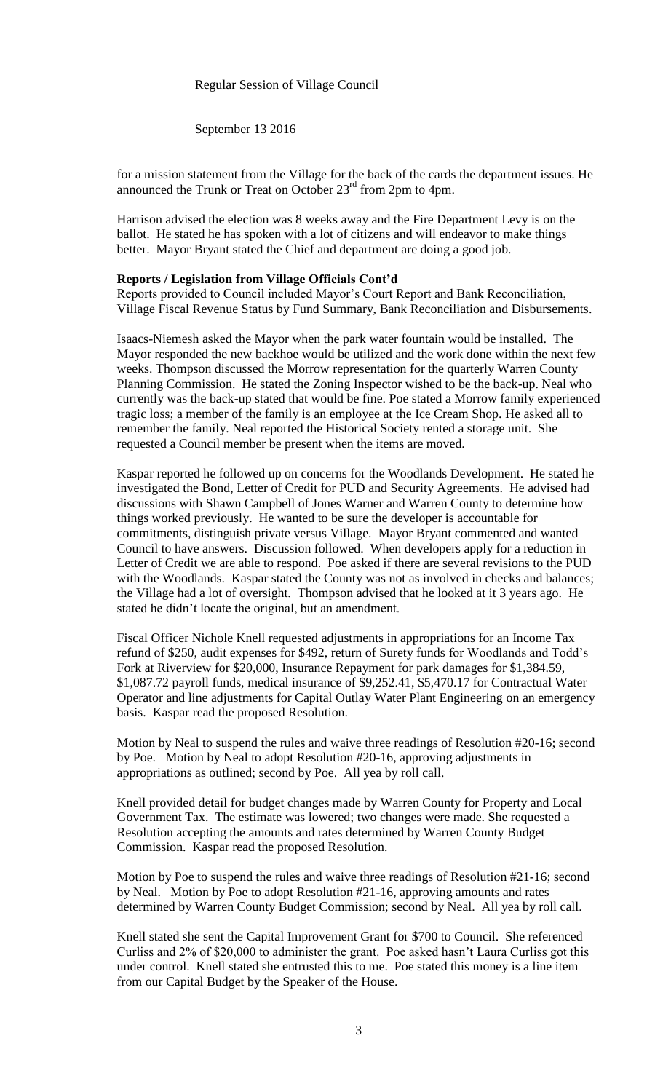## Regular Session of Village Council

September 13 2016

for a mission statement from the Village for the back of the cards the department issues. He announced the Trunk or Treat on October  $23<sup>rd</sup>$  from 2pm to 4pm.

Harrison advised the election was 8 weeks away and the Fire Department Levy is on the ballot. He stated he has spoken with a lot of citizens and will endeavor to make things better. Mayor Bryant stated the Chief and department are doing a good job.

#### **Reports / Legislation from Village Officials Cont'd**

Reports provided to Council included Mayor's Court Report and Bank Reconciliation, Village Fiscal Revenue Status by Fund Summary, Bank Reconciliation and Disbursements.

Isaacs-Niemesh asked the Mayor when the park water fountain would be installed. The Mayor responded the new backhoe would be utilized and the work done within the next few weeks. Thompson discussed the Morrow representation for the quarterly Warren County Planning Commission. He stated the Zoning Inspector wished to be the back-up. Neal who currently was the back-up stated that would be fine. Poe stated a Morrow family experienced tragic loss; a member of the family is an employee at the Ice Cream Shop. He asked all to remember the family. Neal reported the Historical Society rented a storage unit. She requested a Council member be present when the items are moved.

Kaspar reported he followed up on concerns for the Woodlands Development. He stated he investigated the Bond, Letter of Credit for PUD and Security Agreements. He advised had discussions with Shawn Campbell of Jones Warner and Warren County to determine how things worked previously. He wanted to be sure the developer is accountable for commitments, distinguish private versus Village. Mayor Bryant commented and wanted Council to have answers. Discussion followed. When developers apply for a reduction in Letter of Credit we are able to respond. Poe asked if there are several revisions to the PUD with the Woodlands. Kaspar stated the County was not as involved in checks and balances; the Village had a lot of oversight. Thompson advised that he looked at it 3 years ago. He stated he didn't locate the original, but an amendment.

Fiscal Officer Nichole Knell requested adjustments in appropriations for an Income Tax refund of \$250, audit expenses for \$492, return of Surety funds for Woodlands and Todd's Fork at Riverview for \$20,000, Insurance Repayment for park damages for \$1,384.59, \$1,087.72 payroll funds, medical insurance of \$9,252.41, \$5,470.17 for Contractual Water Operator and line adjustments for Capital Outlay Water Plant Engineering on an emergency basis. Kaspar read the proposed Resolution.

Motion by Neal to suspend the rules and waive three readings of Resolution #20-16; second by Poe. Motion by Neal to adopt Resolution #20-16, approving adjustments in appropriations as outlined; second by Poe. All yea by roll call.

Knell provided detail for budget changes made by Warren County for Property and Local Government Tax. The estimate was lowered; two changes were made. She requested a Resolution accepting the amounts and rates determined by Warren County Budget Commission. Kaspar read the proposed Resolution.

Motion by Poe to suspend the rules and waive three readings of Resolution #21-16; second by Neal. Motion by Poe to adopt Resolution #21-16, approving amounts and rates determined by Warren County Budget Commission; second by Neal. All yea by roll call.

Knell stated she sent the Capital Improvement Grant for \$700 to Council. She referenced Curliss and 2% of \$20,000 to administer the grant. Poe asked hasn't Laura Curliss got this under control. Knell stated she entrusted this to me. Poe stated this money is a line item from our Capital Budget by the Speaker of the House.